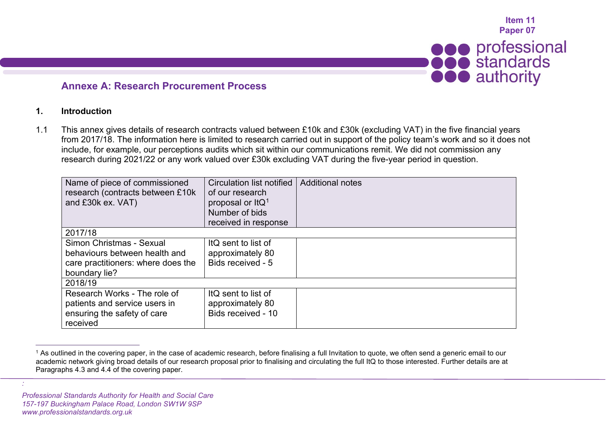<span id="page-0-0"></span>

## **Annexe A: Research Procurement Process**

## **1. Introduction**

1.1 This annex gives details of research contracts valued between £10k and £30k (excluding VAT) in the five financial years from 2017/18. The information here is limited to research carried out in support of the policy team's work and so it does not include, for example, our perceptions audits which sit within our communications remit. We did not commission any research during 2021/22 or any work valued over £30k excluding VAT during the five-year period in question.

| Name of piece of commissioned<br>research (contracts between £10k)<br>and £30k ex. VAT)                          | <b>Circulation list notified</b><br>of our research<br>proposal or ItQ <sup>1</sup><br>Number of bids<br>received in response | <b>Additional notes</b> |
|------------------------------------------------------------------------------------------------------------------|-------------------------------------------------------------------------------------------------------------------------------|-------------------------|
| 2017/18                                                                                                          |                                                                                                                               |                         |
| Simon Christmas - Sexual<br>behaviours between health and<br>care practitioners: where does the<br>boundary lie? | ItQ sent to list of<br>approximately 80<br>Bids received - 5                                                                  |                         |
| 2018/19                                                                                                          |                                                                                                                               |                         |
| Research Works - The role of<br>patients and service users in<br>ensuring the safety of care<br>received         | ItQ sent to list of<br>approximately 80<br>Bids received - 10                                                                 |                         |

<sup>1</sup> As outlined in the covering paper, in the case of academic research, before finalising a full Invitation to quote, we often send a generic email to our academic network giving broad details of our research proposal prior to finalising and circulating the full ItQ to those interested. Further details are at Paragraphs 4.3 and 4.4 of the covering paper.

*Professional Standards Authority for Health and Social Care 157-197 Buckingham Palace Road, London SW1W 9SP www.professionalstandards.org.uk*

*:*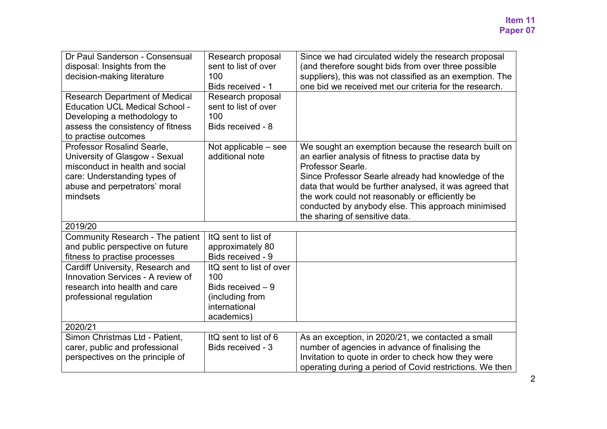| Dr Paul Sanderson - Consensual<br>disposal: Insights from the<br>decision-making literature                                                                                  | Research proposal<br>sent to list of over<br>100<br>Bids received - 1                                   | Since we had circulated widely the research proposal<br>(and therefore sought bids from over three possible<br>suppliers), this was not classified as an exemption. The<br>one bid we received met our criteria for the research.                                                                                                                                                            |  |  |
|------------------------------------------------------------------------------------------------------------------------------------------------------------------------------|---------------------------------------------------------------------------------------------------------|----------------------------------------------------------------------------------------------------------------------------------------------------------------------------------------------------------------------------------------------------------------------------------------------------------------------------------------------------------------------------------------------|--|--|
| <b>Research Department of Medical</b><br><b>Education UCL Medical School -</b><br>Developing a methodology to<br>assess the consistency of fitness<br>to practise outcomes   | Research proposal<br>sent to list of over<br>100<br>Bids received - 8                                   |                                                                                                                                                                                                                                                                                                                                                                                              |  |  |
| Professor Rosalind Searle,<br>University of Glasgow - Sexual<br>misconduct in health and social<br>care: Understanding types of<br>abuse and perpetrators' moral<br>mindsets | Not applicable - see<br>additional note                                                                 | We sought an exemption because the research built on<br>an earlier analysis of fitness to practise data by<br>Professor Searle.<br>Since Professor Searle already had knowledge of the<br>data that would be further analysed, it was agreed that<br>the work could not reasonably or efficiently be<br>conducted by anybody else. This approach minimised<br>the sharing of sensitive data. |  |  |
| 2019/20                                                                                                                                                                      |                                                                                                         |                                                                                                                                                                                                                                                                                                                                                                                              |  |  |
| Community Research - The patient<br>and public perspective on future<br>fitness to practise processes                                                                        | ItQ sent to list of<br>approximately 80<br>Bids received - 9                                            |                                                                                                                                                                                                                                                                                                                                                                                              |  |  |
| Cardiff University, Research and<br>Innovation Services - A review of<br>research into health and care<br>professional regulation                                            | ItQ sent to list of over<br>100<br>Bids received $-9$<br>(including from<br>international<br>academics) |                                                                                                                                                                                                                                                                                                                                                                                              |  |  |
| 2020/21                                                                                                                                                                      |                                                                                                         |                                                                                                                                                                                                                                                                                                                                                                                              |  |  |
| Simon Christmas Ltd - Patient,<br>carer, public and professional<br>perspectives on the principle of                                                                         | ItQ sent to list of 6<br>Bids received - 3                                                              | As an exception, in 2020/21, we contacted a small<br>number of agencies in advance of finalising the<br>Invitation to quote in order to check how they were<br>operating during a period of Covid restrictions. We then                                                                                                                                                                      |  |  |